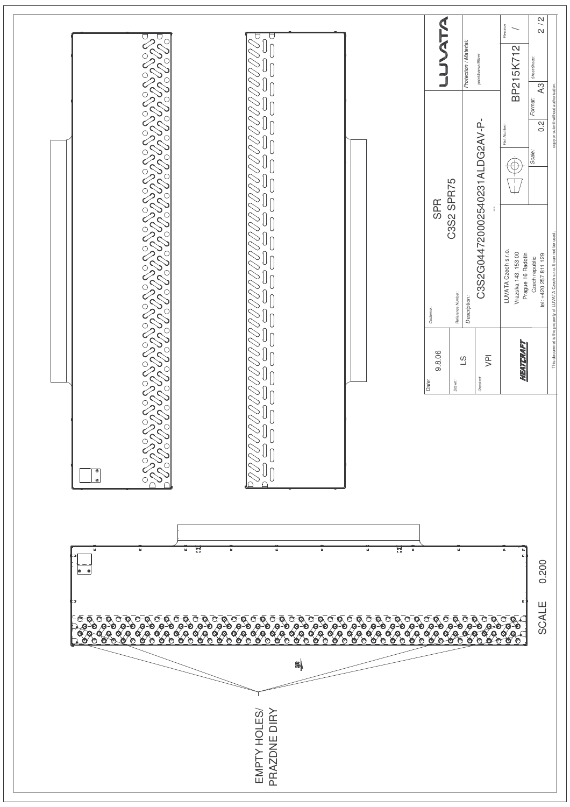